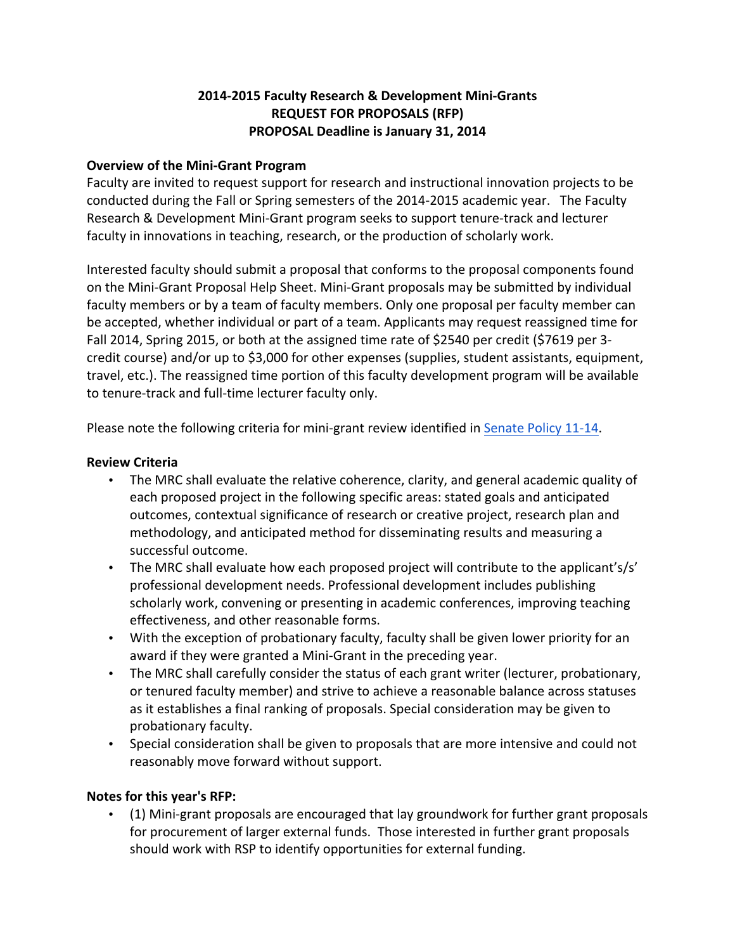# **2014-2015 Faculty Research & Development Mini-Grants REQUEST FOR PROPOSALS (RFP) PROPOSAL Deadline is January 31, 2014**

## **Overview of the Mini-Grant Program**

Faculty are invited to request support for research and instructional innovation projects to be conducted during the Fall or Spring semesters of the 2014-2015 academic year. The Faculty Research & Development Mini-Grant program seeks to support tenure-track and lecturer faculty in innovations in teaching, research, or the production of scholarly work.

Interested faculty should submit a proposal that conforms to the proposal components found on the Mini-Grant Proposal Help Sheet. Mini-Grant proposals may be submitted by individual faculty members or by a team of faculty members. Only one proposal per faculty member can be accepted, whether individual or part of a team. Applicants may request reassigned time for Fall 2014, Spring 2015, or both at the assigned time rate of \$2540 per credit (\$7619 per 3credit course) and/or up to \$3,000 for other expenses (supplies, student assistants, equipment, travel, etc.). The reassigned time portion of this faculty development program will be available to tenure-track and full-time lecturer faculty only.

Please note the following criteria for mini-grant review identified in Senate Policy 11-14.

### **Review Criteria**

- The MRC shall evaluate the relative coherence, clarity, and general academic quality of each proposed project in the following specific areas: stated goals and anticipated outcomes, contextual significance of research or creative project, research plan and methodology, and anticipated method for disseminating results and measuring a successful outcome.
- The MRC shall evaluate how each proposed project will contribute to the applicant's/s' professional development needs. Professional development includes publishing scholarly work, convening or presenting in academic conferences, improving teaching effectiveness, and other reasonable forms.
- With the exception of probationary faculty, faculty shall be given lower priority for an award if they were granted a Mini-Grant in the preceding year.
- The MRC shall carefully consider the status of each grant writer (lecturer, probationary, or tenured faculty member) and strive to achieve a reasonable balance across statuses as it establishes a final ranking of proposals. Special consideration may be given to probationary faculty.
- Special consideration shall be given to proposals that are more intensive and could not reasonably move forward without support.

### **Notes for this year's RFP:**

• (1) Mini-grant proposals are encouraged that lay groundwork for further grant proposals for procurement of larger external funds. Those interested in further grant proposals should work with RSP to identify opportunities for external funding.